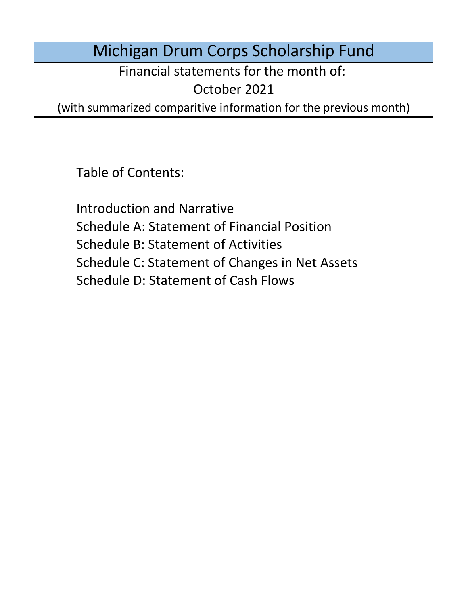# Michigan Drum Corps Scholarship Fund

Financial statements for the month of:

October 2021

(with summarized comparitive information for the previous month)

Table of Contents:

Schedule D: Statement of Cash Flows Introduction and Narrative Schedule A: Statement of Financial Position Schedule B: Statement of Activities Schedule C: Statement of Changes in Net Assets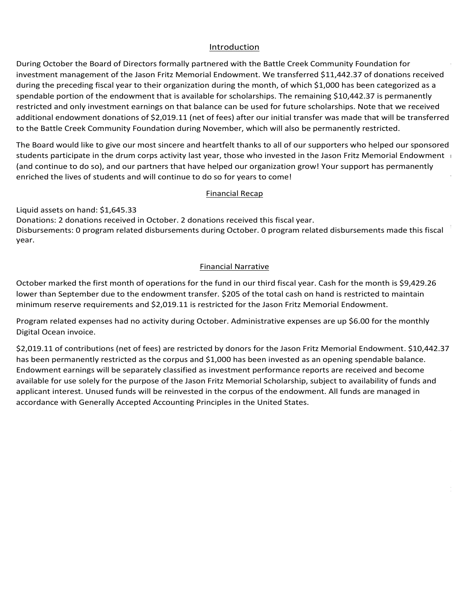### Introduction Introduction Introduction Introduction

Introduction<br>During October the Board of Directors formally partnered with the Battle Creek Community Foundation for Introduction<br>During October the Board of Directors formally partnered with the Battle Creek Community Foundation for<br>investment management of the Jason Fritz Memorial Endowment. We transferred \$11,442.37 of donations recei during the preceding fiscal year to their organization during the month, of which \$1,000 has been categorized as a spendable portion of the endowment that is available for scholarships. The remaining \$10,442.37 is permanently restricted and only investment earnings on that balance can be used for future scholarships. Note that we received<br>additional endowment donations of \$2,019.11 (net of fees) after our initial transfer was made that will be  $\frac{1}{2}$  and  $\frac{1}{2}$  assets on the battle on definition  $\frac{1}{2}$   $\frac{1}{2}$ additional endowment donations of 72,019.11 (het of lees) after our initial transier was made that will be transierre<br>to the Bettle Creek Community Equadetion during November, which will also be permanently rectricted to the Battle Creek Community Foundation during November, which will also be permanently restricted.<br>. of the Jason Fritz Memorial Endowment. We transferred \$11,442.37 of donations received<br>al year to their organization during the month, of which \$1,000 has been categorized as a<br>endowment that is available for scholarships. is formally partnered with the Battle Creek Community Foundation for<br>In Fritz Memorial Endowment. We transferred \$11,442.37 of donations receiver<br>eir organization during the month, of which \$1,000 has been categorized as a restricted and only investment earnings on that balance can be used for future scholarships. Note that we received mediculate in a meeting scheduled in January 2021. With the announcement of virtual programs, planned events in<br>The book of annual process in Indianapolis in Indianapolis, and in Indianapolis, and in Indianapolis, and in I per the battle creek community reunaation during nevenibely which will also be permanently restricted. instructional statement definitions of papers. In the events at least our mindi-during mas made that this between<br>to the Pattle Creek Community Foundation during November, which will also be nermanently rectricted provided the announcement of virtual provided by the announcement of virtual provided in Indianapolis in Indianapolis from the personal provided. Scouts have announced to require an all members of receivers to the members they made that will be trained that wo are battle creek community roundation during hovemony willow will also be permanently restricted. to the Battle Creek Community Foundation during November, which will also be permanently restricted. During October the Boord of Directors formally partnered with the Battle Creek Community roundation for the endors of the month of the alson ritu Memorial Endowment. We transferred as 1,423.37 of donations received during to the battle order community roundation during november, which will discusse permanently restricted. and will continue the will be denoted the permanently rectricted to the Battle Creek Community Foundation during November, which will also be permanently restricted.

The Board would like to give our most sincere and heartfelt thanks to all of our supporters who helped our sponsored<br>The Board would like to give our most sincere and heartfelt thanks to all of our supporters who helped ou students participate in the drum corps activity last year, those who invested in the Jason Fritz Memorial Endowment Financial Narrative and continue to do so), and our partners that have helped our organization grow! Your support has permanently<br>enriched the lives of students and will continue to do so for years to come! enriched the lives of students and will continue to do so for years to come! the spart would like to give our most sincere and heartfelt thanks to all of our supporters who helped our sponsored<br>dents participate in the drum corps activity last year, those who invested in the Jason Fritz Memorial En emoned the mes of stadents and will continue to do so for years to come. The board would like to give our most sincere and heartient thanks to all or our supporters who helped our sponsored<br>students participate in the drum corps activity last year, those who invested in the Jason Fritz Memorial and commute to ac sey, and car partners that have neiped car organization grow; roll support has permaner<br>enriched the lives of students and will continue to do so for vears to semel platforms for virtual instruction and and all continues to do so for years to come. rolled our organized into digital planet into digital planet into digital planet in the process of the section of the section of the section of the section of the section of the section of the section of the section of the enriched the lives of students and will continue to do so for years to come! The Board would like to give our most sincere and heartfelt thanks to all of our supporters who helped our sponsored<br>students participate in the drum corps activity last year, those who invested in the Jason Fritz Memorial students participate in the drum corps activity last year, those who invested in the Jason Fritz Memorial Endowment

### **Example 2018 Example 2018 Example 2019 Example 2019 Example 2019 Example 2019** base and tailor it for Jason's wife and family. Additionally, the fund plans to manage fundraising efforts, discriments management of and investment management of an endowment for perspectual for an endowment for perspectual for perspectual for perspectual for perspectual for perspectual for perspectual for perspectual for persp creation of an endowment for perpetual scholarships). More information will be provided as we receive feedback  $T_{\rm tot}$  the endowment  $\overline{P_{\rm tot}}$

January marked the fifth month of operations for the fund under its declared fiscal year. Cash for the Liquid assets on nand: 51,645.33<br>Donations: 2 donations received in October. 2 donations received this fiscal year. Donations. 2 donations received in October. 2 donations received this riscar year.<br>Dishursements: 0 program related dishursements during October. 0 program related dishursements made this fis Program related expenses did not change during January. Administrative expenses are up \$6.00 for the Financial Necapture<br>February marked the sixth month of operations for the fund under its decapture fiscal year. Cash for the fund <br>The fund under its decapture fiscal year. Cash for the fund under its decapture fiscal year  $\mathsf{vear}.$  . The total case of the total cash on hand is currently restricted to maintain  $\mathsf{ce}$ Disbursements: 0 program related disbursements during October. 0 program related disbursements made this fis<br>vees  $\alpha$  donations:  $\alpha$  donations received during  $\alpha$  and  $\alpha$  during  $\alpha$  and  $\alpha$ Liquid assets on hand: \$1,645.33  $\,$  $\epsilon$  year. properties, vehicle loans, and other operations, and september 7th, they have really contact they have really they have shared students have shared students have shared students have shared students have shared they are at bonations. 2 donations received in october: 2 donations received this nsearly ear.<br>Dishursements: 0 program related dishursements during October. 0 program related dishursements made this f Pforment and the WHO resources and the WHO resources.<br>Vear bonations. 2 aonations received in October. 2 aonations received this nsear year.<br>Dishursements: 0 program related dishursements during October. 0 program related dishursements made this participating in the 2021 season. The board will continue to monitor the state of the marchine marchine and will<br>Vear  $\mathbf{u}$ ponations. 2 aonations received in october. 2 aonations received this nsearyed:<br>Dishursements: 0 program related dishursements during October. 0 program related dishursements made this fiscal of the marchine marching arts and will provide updates to all interests as provided becomes and the more information becomes available.<br>Vear ponations. 2 aonations received in october. 2 aonations received this nscar year.<br>Dishursements: A program related dishursements during October. A program related dishursements made this produced and no ensembles have and activities to any in-person activities to determine the sponsored programs,<br>Vear Crossmen, Madison Scouts, and Phantom Regiment have all announced they will be attending the events in car.<br>related dishursements made this fisc Crossmen, Madison Scott Scouts, and Phantom Regiment of the events in the events inconvents in the events in the events in the events in the events in the events in the events in the events in the events in the events in t Indianapolis. The board continues to monitor the state of the marching arts and will provide updates to all interested ponations. 2 adhations received in october. 2 adhations received this nsear year.<br>Dishursements: 0 program related dishursements during October. 0 program related dishursements made this fiscal opted to foregoing to foregoing the 2021 season and foregoing to full operations in 2022.<br>Vear Donations. 2 aonations received in October: 2 aonations received this nsear year.<br>Disbursements: 0 program related disbursements during October. 0 program related disbursements made this fis Colyman who will be program which will be marchine will be will be marching with the Madison Scouts. The board<br>Vear been in contact with all sponsored students from the 2020 season and has confirmed that Abbey Trach is Donations. 2 aonations received in October: 2 aonations received this nscar year.<br>Dishursements: 0 program related dishursements during October. 0 program related dishursements made this fiscal from the 2020 season and has confirmed that Abbey Trach is participating with River City River City Rhythm and<br>Vear McCallum will be participating with Phantom Regiment. We have received a \$400.00 refund from Legends for Echo Donations. 2 aonations received in October: 2 aonations received tins nscar year.<br>Dishursements: 0 program related dishursements during October. 0 program related dishursements made this fisca from 2000 and this year's sponsored students, we have a total of four students marchine with the corps three corps<br>Vear summer: Jaden McCallum and Echo Bennett with Phantom Regiment, Abbey Trach with River City Rhythm, and Kaitlyn Disbursements: 0 program related disbursements during October. 0 program related disbursements made this fiscal 2021 season. year.  $\gamma$ eart $\alpha$ 

### **Financial Narrative** Donations: 2 donations received during August. Disbursements: 0 program related disbursements during August. receiving a 400.000 refunds for Echo Bennetting for Echo Bennetting scholarship payment but Crossmen has not E

October marked the first month of operations for the fund in our third fiscal year. Cash for the month is \$9,429.26 lower than September due to the endowment transfer. \$205 of the total cash on hand is restricted to maintain<br>minimum reserve requirements and \$2.019.11 is restricted for the Jason Fritz Memorial Endowment minimum reserve requirements and \$2,019.11 is restricted for the Jason Fritz Memorial Endowment. October marked the first month of operations for the fund in our th Liquid assets on hand: \$536.83 October marked the first month of operations fo October marked the first month of operations for the fund in our third fiscal year. Cash for the month is \$9,429.26<br>lower than September due to the endowment transfer. \$205 of the total cash on hand is restricted to mainta state of the marching arts and will provide updates to all interested parties as more information is available. Discussion relative that is one choice. On the dispute of the local cash on hand is reclibed to maintain relative<br>Dispute this matrix made this matrix and C2 010 11 is restricted for the Jacon Fritz Memorial Endowment film in the 1,590 is 1,590 chicken and preparately to the 2020 season the 2020 season due to the 2020 season due lower than beptenned take to the endowment transier. (200 or the total cash on hand is restricted to maintain<br>minimum reserve requirements and \$2.019.11 is restricted for the Jason Fritz Memorial Fndowment. Donations: 0 donations received in December. 1 PayPal donation from December transferred in January. Financial Recap Disbursements: 0 program related disbursements during February. 0 program related disbursements made this fiscal students that will be marching are scheduled to participate in these shows. irements fower than september due to the endowment transfer. 5205 or the total cash on hand is restricted to maintain i<br>minimum reserve requirements and \$2 019 11 is restricted for the Jason Fritz Memorial Endowment 1 disputation during May. 1 program relationship May. 1 program relationship material materials with  $\frac{1}{2}$  $b_{\rm HII}$ unitum reserve requirements and  $\gamma$ z $\gamma$ up. In is restricted for the bason rritz wienform Endowment. sponsorships for the 2021 season. lower than September due to the endowment transfer. \$205 of the total cash on hand is restricted to maintain minimum reserve requirements and \$2,019.11 is restricted for the Jason Fritz Memorial Endowment.

Program related expenses had no activity during October. Administrative expenses are up \$6.00 for the monthly Digital Ocean invoice. The contract of the contract of the contract of the contract of the contract of the contract of the contract of the contract of the contract of the contract of the contract of the contract of the con Program relation relations decreased  $\frac{44}{400}$  during May for a recelasion of tuition expenses for  $2020$  to  $2020$  to  $2020$  to  $2020$  to  $2020$  to  $2020$  to  $2020$  to  $2020$  to  $2020$  to  $2020$  to  $2020$  to  $2020$  to Program related expenses had no activity during October. Administrative expenses are up \$6.00 for the monthly<br>Pinal do oregram related disputed mad he dentity daring October. 1 primitive during disputed and up your relation made this fiscal types.<br>Digital Ocean invoice year. \$1,590 in prepaid tuition has been rolled for ward into the 2021 season due to the 2020 season due to the 2020 season due to the 2020 season due to the 2020 season due to the 2020 season due to the 2020 season cancel Program related expenses had no activity during October. Administrative expenses are up \$6.00 for the monthly<br>Disital Ossen invaise Program related expenses had no activity during October. Administrative expenses are up \$6.00 for the monthly<br>Digital Ocean invoice Muniman recents requirements and population recentlies for the corps in June mandels and the mandels<br>Program related expenses had no activity during October. Administrative expenses are up \$6.00 for the monthly<br>Digital Oce Program related expenses had no activity during October. Administrative expenses are up \$6.00 for the monthly<br>Fig. 11.2021 Drogram related expenses had no activity during October. Administrative expenses are un \$6.00 for the monthly Program related expenses had no activity during October. Administrative expenses are up \$6.00 for the monthly<br>Digital Osean invoice Digital Ocean invoice.

.<br>\$2,019.11 of contributions (net of fees) are restricted by donors for the Jason Fritz Memorial Endowment. \$10,442.3 has been permanently restricted as the corpus and \$1,000 has been invested as an opening spendable balance. Endowment earnings will be separately classified as investment performance reports are received and become available for use solely for the purpose of the Jason Fritz Memorial Scholarship, subject to availability of funds and<br>conlinent interest. Unused funds will be acimented in the commo of the endowment. All funds are moneyed accordance with Generally Accepted Accounting Principles in the United States. applicant interest. Unused funds will be reinvested in the corpus of the endowment. All funds are managed in<br>coordinate with Caronally Accepted Acception Principles in the United States  $\mu$  P<sub>1</sub>,000 mas been has been permanently restricted as the corpus and \$1,000 has been invested as an opening spendable balance. \$680.55 higher than October. \$205 of the total cash on hand is currently restricted to maintain minimum reserve accordance with Generally Accepted Accounting Principles in the United States. \$2,019.11 of contributions (net of fees) are restricted by donors for the Jason Fritz Memorial Endowment. \$10,442.3 rias been pern<br>End some set s accordance with Generally Accepted Accounting Principles in the United States. Linuary ment carrings will be separately classified as investment performance reports are received and become<br>Applicable for the cash for the monetes of the Jacon Fista Montenial Sebelembia, which to availability of funds  $\frac{1}{2}$  first marked the first model the fund in our second  $\frac{1}{2}$  ,  $\frac{1}{2}$ ,  $\frac{1}{2}$ ,  $\frac{1}{2}$ ,  $\frac{1}{2}$  and  $\frac{1}{2}$  and  $\frac{1}{2}$   $\frac{1}{2}$  and  $\frac{1}{2}$  is  $\frac{1}{2}$  and  $\frac{1}{2}$  and  $\frac{1}{2}$  is  $\frac{1}{2}$ Endowment earnings will be separately classified as investment performance reports are received and become<br>surilable far use salak far the number of the local Fritz Marsovial Scholarskin, subject to quailability of funda a pz,019.11 of contributions (net of lees) are restricted by donors for the Jason Fritz Memorial Endowment. \$10,442<br>. their 2021 use of last year's sponsorships. The refund received from Legends was deposited in June and reduces our  $\textsf{S2,019.11}$  of contributions (net of fees) are restricted by donors for the Jason Fritz M available for use solely for the purpose of the Jason Fritz Memorial Scholarship, subject to availability of funds and July. Prepaid adjustments were made last month for Jaden's and Abbey's sponsorships to recognize their 2021 use of S2,019.11 of contributior eral OOO has been.<br>H S1 OOO has been August marked the electron month of operations for the fund in our second fiscal year. Cash for the month in our \$2,019.11 of contributions (net of fees) are restricted by donors for the Jason Fritz Memorial Endowment. \$10,442.37 has been permanently restricted as the corpus and \$1,000 has been invested as an opening spendable balance.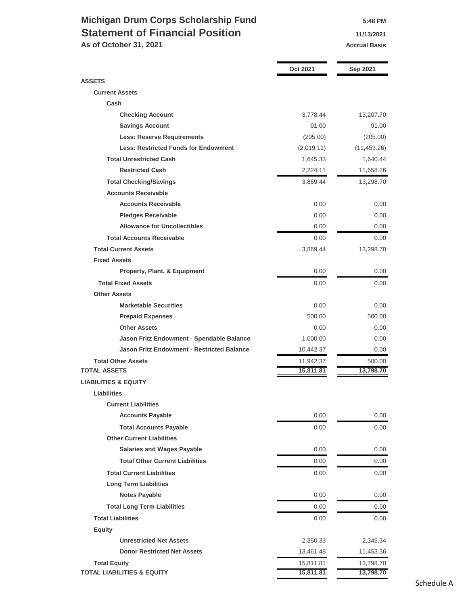## **Michigan Drum Corps Scholarship Fund 5:48 PM Statement of Financial Position 11/13/2021**

**As of October 31, 2021 Accrual Basis Accrual Basis** 

|                                                   | <b>Oct 2021</b> | Sep 2021     |
|---------------------------------------------------|-----------------|--------------|
| <b>ASSETS</b>                                     |                 |              |
| <b>Current Assets</b>                             |                 |              |
| Cash                                              |                 |              |
| <b>Checking Account</b>                           | 3,778.44        | 13,207.70    |
| <b>Savings Account</b>                            | 91.00           | 91.00        |
| <b>Less: Reserve Requirements</b>                 | (205.00)        | (205.00)     |
| <b>Less: Restricted Funds for Endowment</b>       | (2,019.11)      | (11, 453.26) |
| <b>Total Unrestricted Cash</b>                    | 1,645.33        | 1,640.44     |
| <b>Restricted Cash</b>                            | 2,224.11        | 11,658.26    |
| <b>Total Checking/Savings</b>                     | 3,869.44        | 13,298.70    |
| <b>Accounts Receivable</b>                        |                 |              |
| <b>Accounts Receivable</b>                        | 0.00            | 0.00         |
| <b>Pledges Receivable</b>                         | 0.00            | 0.00         |
| <b>Allowance for Uncollectibles</b>               | 0.00            | 0.00         |
| <b>Total Accounts Receivable</b>                  | 0.00            | 0.00         |
| <b>Total Current Assets</b>                       | 3,869.44        | 13,298.70    |
| <b>Fixed Assets</b>                               |                 |              |
| <b>Property, Plant, &amp; Equipment</b>           | 0.00            | 0.00         |
| <b>Total Fixed Assets</b>                         | 0.00            | 0.00         |
| <b>Other Assets</b>                               |                 |              |
| <b>Marketable Securities</b>                      | 0.00            | 0.00         |
| <b>Prepaid Expenses</b>                           | 500.00          | 500.00       |
| <b>Other Assets</b>                               | 0.00            | 0.00         |
| Jason Fritz Endowment - Spendable Balance         | 1,000.00        | 0.00         |
| <b>Jason Fritz Endowment - Restricted Balance</b> | 10,442.37       | 0.00         |
| <b>Total Other Assets</b>                         | 11,942.37       | 500.00       |
| <b>TOTAL ASSETS</b>                               | 15,811.81       | 13,798.70    |
| <b>LIABILITIES &amp; EQUITY</b>                   |                 |              |
| <b>Liabilities</b>                                |                 |              |
| <b>Current Liabilities</b>                        |                 |              |
| <b>Accounts Payable</b>                           | 0.00            | 0.00         |
| <b>Total Accounts Payable</b>                     | 0.00            | 0.00         |
| <b>Other Current Liabilities</b>                  |                 |              |
| <b>Salaries and Wages Payable</b>                 | 0.00            | 0.00         |
| <b>Total Other Current Liabilities</b>            | 0.00            | 0.00         |
| <b>Total Current Liabilities</b>                  | 0.00            | 0.00         |
| <b>Long Term Liabilities</b>                      |                 |              |
| <b>Notes Payable</b>                              | 0.00            | 0.00         |
| <b>Total Long Term Liabilities</b>                | 0.00            | 0.00         |
| <b>Total Liabilities</b>                          | 0.00            | 0.00         |
| <b>Equity</b>                                     |                 |              |
| <b>Unrestricted Net Assets</b>                    | 2,350.33        | 2,345.34     |
| <b>Donor Restricted Net Assets</b>                | 13,461.48       | 11,453.36    |
| <b>Total Equity</b>                               | 15,811.81       | 13,798.70    |
| <b>TOTAL LIABILITIES &amp; EQUITY</b>             | 15,811.81       | 13,798.70    |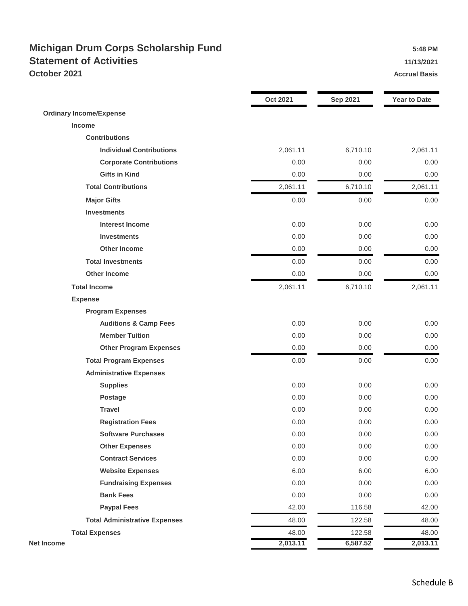## **Michigan Drum Corps Scholarship Fund 5:48 PM Statement of Activities 11/13/2021 October 2021 Accrual Basis Accrual Basis**

|                                      | <b>Oct 2021</b> | <b>Sep 2021</b> | <b>Year to Date</b> |
|--------------------------------------|-----------------|-----------------|---------------------|
| <b>Ordinary Income/Expense</b>       |                 |                 |                     |
| Income                               |                 |                 |                     |
| <b>Contributions</b>                 |                 |                 |                     |
| <b>Individual Contributions</b>      | 2,061.11        | 6,710.10        | 2,061.11            |
| <b>Corporate Contributions</b>       | 0.00            | 0.00            | 0.00                |
| <b>Gifts in Kind</b>                 | 0.00            | 0.00            | 0.00                |
| <b>Total Contributions</b>           | 2,061.11        | 6,710.10        | 2,061.11            |
| <b>Major Gifts</b>                   | 0.00            | 0.00            | 0.00                |
| <b>Investments</b>                   |                 |                 |                     |
| <b>Interest Income</b>               | 0.00            | 0.00            | 0.00                |
| <b>Investments</b>                   | 0.00            | 0.00            | 0.00                |
| <b>Other Income</b>                  | 0.00            | 0.00            | 0.00                |
| <b>Total Investments</b>             | 0.00            | 0.00            | 0.00                |
| <b>Other Income</b>                  | 0.00            | 0.00            | 0.00                |
| <b>Total Income</b>                  | 2,061.11        | 6,710.10        | 2,061.11            |
| <b>Expense</b>                       |                 |                 |                     |
| <b>Program Expenses</b>              |                 |                 |                     |
| <b>Auditions &amp; Camp Fees</b>     | 0.00            | 0.00            | 0.00                |
| <b>Member Tuition</b>                | 0.00            | 0.00            | 0.00                |
| <b>Other Program Expenses</b>        | 0.00            | 0.00            | 0.00                |
| <b>Total Program Expenses</b>        | 0.00            | 0.00            | 0.00                |
| <b>Administrative Expenses</b>       |                 |                 |                     |
| <b>Supplies</b>                      | 0.00            | 0.00            | 0.00                |
| <b>Postage</b>                       | 0.00            | 0.00            | 0.00                |
| <b>Travel</b>                        | 0.00            | 0.00            | 0.00                |
| <b>Registration Fees</b>             | 0.00            | 0.00            | 0.00                |
| <b>Software Purchases</b>            | 0.00            | 0.00            | 0.00                |
| <b>Other Expenses</b>                | 0.00            | 0.00            | 0.00                |
| <b>Contract Services</b>             | 0.00            | 0.00            | 0.00                |
| <b>Website Expenses</b>              | 6.00            | 6.00            | 6.00                |
| <b>Fundraising Expenses</b>          | 0.00            | 0.00            | 0.00                |
| <b>Bank Fees</b>                     | 0.00            | 0.00            | 0.00                |
| <b>Paypal Fees</b>                   | 42.00           | 116.58          | 42.00               |
| <b>Total Administrative Expenses</b> | 48.00           | 122.58          | 48.00               |
| <b>Total Expenses</b>                | 48.00           | 122.58          | 48.00               |
| <b>Net Income</b>                    | 2,013.11        | 6,587.52        | 2,013.11            |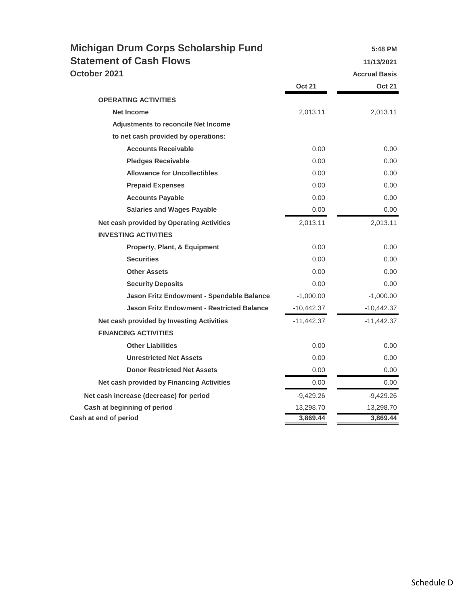| <b>Michigan Drum Corps Scholarship Fund</b>       |               | 5:48 PM              |
|---------------------------------------------------|---------------|----------------------|
| <b>Statement of Cash Flows</b>                    |               | 11/13/2021           |
| October 2021                                      |               | <b>Accrual Basis</b> |
|                                                   | <b>Oct 21</b> | <b>Oct 21</b>        |
| <b>OPERATING ACTIVITIES</b>                       |               |                      |
| <b>Net Income</b>                                 | 2,013.11      | 2,013.11             |
| <b>Adjustments to reconcile Net Income</b>        |               |                      |
| to net cash provided by operations:               |               |                      |
| <b>Accounts Receivable</b>                        | 0.00          | 0.00                 |
| <b>Pledges Receivable</b>                         | 0.00          | 0.00                 |
| <b>Allowance for Uncollectibles</b>               | 0.00          | 0.00                 |
| <b>Prepaid Expenses</b>                           | 0.00          | 0.00                 |
| <b>Accounts Payable</b>                           | 0.00          | 0.00                 |
| <b>Salaries and Wages Payable</b>                 | 0.00          | 0.00                 |
| <b>Net cash provided by Operating Activities</b>  | 2,013.11      | 2,013.11             |
| <b>INVESTING ACTIVITIES</b>                       |               |                      |
| <b>Property, Plant, &amp; Equipment</b>           | 0.00          | 0.00                 |
| <b>Securities</b>                                 | 0.00          | 0.00                 |
| <b>Other Assets</b>                               | 0.00          | 0.00                 |
| <b>Security Deposits</b>                          | 0.00          | 0.00                 |
| Jason Fritz Endowment - Spendable Balance         | $-1,000.00$   | $-1,000.00$          |
| <b>Jason Fritz Endowment - Restricted Balance</b> | $-10,442.37$  | -10,442.37           |
| Net cash provided by Investing Activities         | $-11,442.37$  | $-11,442.37$         |
| <b>FINANCING ACTIVITIES</b>                       |               |                      |
| <b>Other Liabilities</b>                          | 0.00          | 0.00                 |
| <b>Unrestricted Net Assets</b>                    | 0.00          | 0.00                 |
| <b>Donor Restricted Net Assets</b>                | 0.00          | 0.00                 |
| Net cash provided by Financing Activities         | 0.00          | 0.00                 |
| Net cash increase (decrease) for period           | $-9,429.26$   | $-9,429.26$          |
| Cash at beginning of period                       | 13,298.70     | 13,298.70            |
| Cash at end of period                             | 3,869.44      | 3,869.44             |